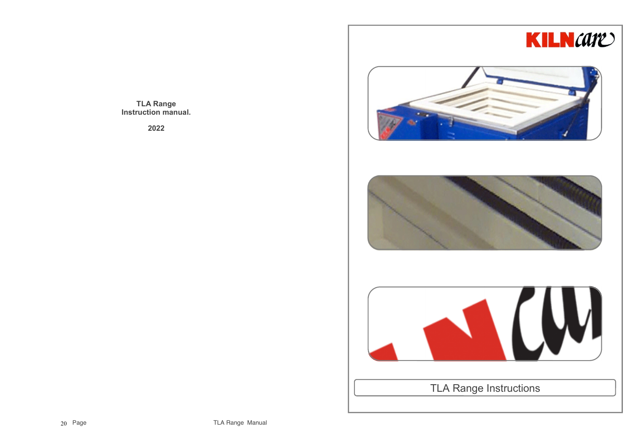

**TLA Range Instruction manual.**

**2022**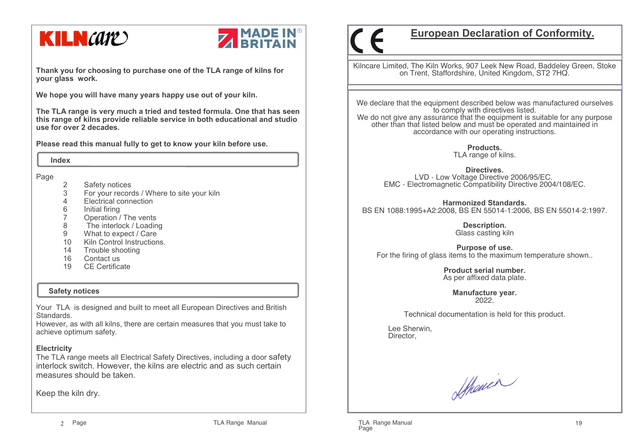



**Thank you for choosing to purchase one of the TLA range of kilns for your glass work.**

**We hope you will have many years happy use out of your kiln.** 

**The TLA range is very much a tried and tested formula. One that has seen this range of kilns provide reliable service in both educational and studio use for over 2 decades.**

**Please read this manual fully to get to know your kiln before use.**

 **Index**

Page

- 2 Safety notices
- 3 For your records / Where to site your kiln
- 4 Electrical connection
- 6 Initial firing<br>7 Operation /
- 7 Operation / The vents
- 8 The interlock / Loading
- 9 What to expect / Care
- 10 Kiln Control Instructions.
- 14 Trouble shooting<br>16 Contact us
- Contact us
- 19 CE Certificate

## **Safety notices**

Your TLA is designed and built to meet all European Directives and British Standards.

 However, as with all kilns, there are certain measures that you must take to achieve optimum safety.

## **Electricity**

 The TLA range meets all Electrical Safety Directives, including a door safety interlock switch. However, the kilns are electric and as such certain measures should be taken.

Keep the kiln dry.

# **European Declaration of Conformity.**

Kilncare Limited, The Kiln Works, 907 Leek New Road, Baddeley Green, Stoke on Trent, Staffordshire, United Kingdom, ST2 7HQ.

We declare that the equipment described below was manufactured ourselves to comply with directives listed. We do not give any assurance that the equipment is suitable for any purpose other than that listed below and must be operated and maintained in accordance with our operating instructions.

> **Products.**TLA range of kilns.

**Directives.** LVD - Low Voltage Directive 2006/95/EC.EMC - Electromagnetic Compatibility Directive 2004/108/EC.

**Harmonized Standards.**BS EN 1088:1995+A2:2008, BS EN 55014-1:2006, BS EN 55014-2:1997.

> **Description.** Glass casting kiln

**Purpose of use.**For the firing of glass items to the maximum temperature shown..

> **Product serial number.**As per affixed data plate.

> > **Manufacture year.**2022.

Technical documentation is held for this product.

 Lee Sherwin,Director,

Shower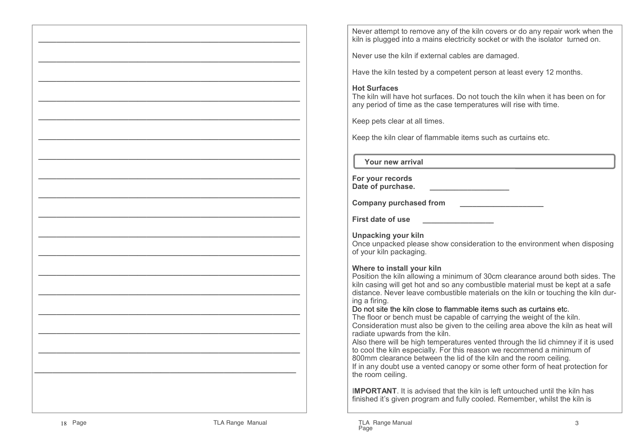Never attempt to remove any of the kiln covers or do any repair work when the kiln is plugged into a mains electricity socket or with the isolator turned on.

Never use the kiln if external cables are damaged.

Have the kiln tested by a competent person at least every 12 months.

#### **Hot Surfaces**

 The kiln will have hot surfaces. Do not touch the kiln when it has been on for any period of time as the case temperatures will rise with time.

Keep pets clear at all times.

Keep the kiln clear of flammable items such as curtains etc.

 **Your new arrival**

| For your records  |  |
|-------------------|--|
| Date of purchase. |  |

**Company purchased from \_\_\_\_\_\_\_\_\_\_\_\_\_\_\_\_\_\_\_\_**

**First date of use \_\_\_\_\_\_\_\_\_\_\_\_\_\_\_\_\_**

**Unpacking your kiln**

 Once unpacked please show consideration to the environment when disposing of your kiln packaging.

#### **Where to install your kiln**

 Position the kiln allowing a minimum of 30cm clearance around both sides. The kiln casing will get hot and so any combustible material must be kept at a safe distance. Never leave combustible materials on the kiln or touching the kiln during a firing.

#### Do not site the kiln close to flammable items such as curtains etc.

 The floor or bench must be capable of carrying the weight of the kiln. Consideration must also be given to the ceiling area above the kiln as heat will radiate upwards from the kiln.

Never use the kink has been the kink has been the summer of the summer of the summer of the summer of the summer of the summer of the summer of the summer of the summer of the summer of the summer of the summer of the summ Also there will be high temperatures vented through the lid chimney if it is used to cool the kiln especially. For this reason we recommend a minimum of 800mm clearance between the lid of the kiln and the room ceiling. If in any doubt use a vented canopy or some other form of heat protection for the room ceiling.

I**MPORTANT**. It is advised that the kiln is left untouched until the kiln has finished it's given program and fully cooled. Remember, whilst the kiln is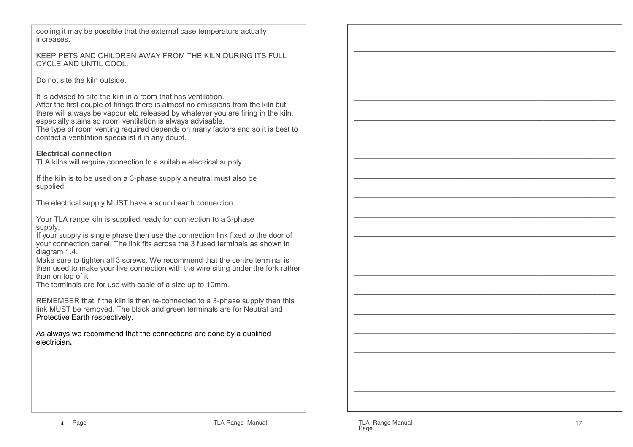cooling it may be possible that the external case temperature actually increases.

#### KEEP PETS AND CHILDREN AWAY FROM THE KILN DURING ITS FULL CYCLE AND UNTIL COOL.

Do not site the kiln outside.

It is advised to site the kiln in a room that has ventilation.

 After the first couple of firings there is almost no emissions from the kiln but there will always be vapour etc released by whatever you are firing in the kiln, especially stains so room ventilation is always advisable.

 The type of room venting required depends on many factors and so it is best to contact a ventilation specialist if in any doubt.

# **Electrical connection**

TLA kilns will require connection to a suitable electrical supply.

If the kiln is to be used on a 3-phase supply a neutral must also be supplied.

The electrical supply MUST have a sound earth connection.

Your TLA range kiln is supplied ready for connection to a 3-phase supply.

 If your supply is single phase then use the connection link fixed to the door of your connection panel. The link fits across the 3 fused terminals as shown in diagram 1.4.

 Make sure to tighten all 3 screws. We recommend that the centre terminal is then used to make your live connection with the wire siting under the fork rather than on top of it.

The terminals are for use with cable of a size up to 10mm.

REMEMBER that if the kiln is then re-connected to a 3-phase supply then this link MUST be removed. The black and green terminals are for Neutral and Protective Earth respectively.

As always we recommend that the connections are done by a qualified electrician**.**

————————————————————————————— ————————————————————————————— ————————————————————————————— ————————————————————————————— ————————————————————————————— ————————————————————————————— ————————————————————————————— ————————————————————————————— ————————————————————————————— ————————————————————————————— ————————————————————————————— ————————————————————————————— ————————————————————————————— ————————————————————————————— ————————————————————————————— ————————————————————————————— ————————————————————————————— ————————————————————————————— —————————————————————————————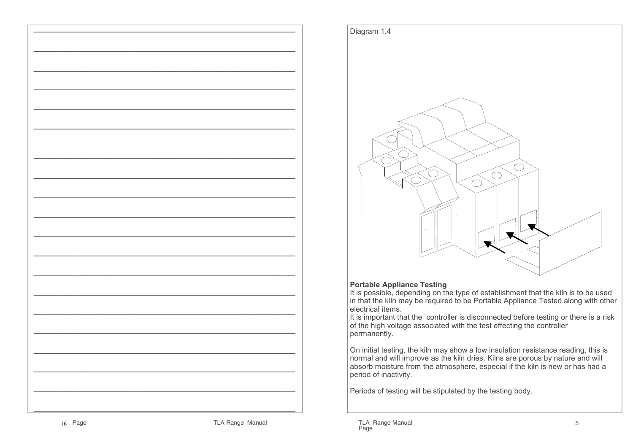



#### **Portable Appliance Testing**

 It is possible, depending on the type of establishment that the kiln is to be used in that the kiln may be required to be Portable Appliance Tested along with other electrical items.

 It is important that the controller is disconnected before testing or there is a risk of the high voltage associated with the test effecting the controller permanently.

On initial testing, the kiln may show a low insulation resistance reading, this is normal and will improve as the kiln dries. Kilns are porous by nature and will absorb moisture from the atmosphere, especial if the kiln is new or has had a period of inactivity.

Periods of testing will be stipulated by the testing body.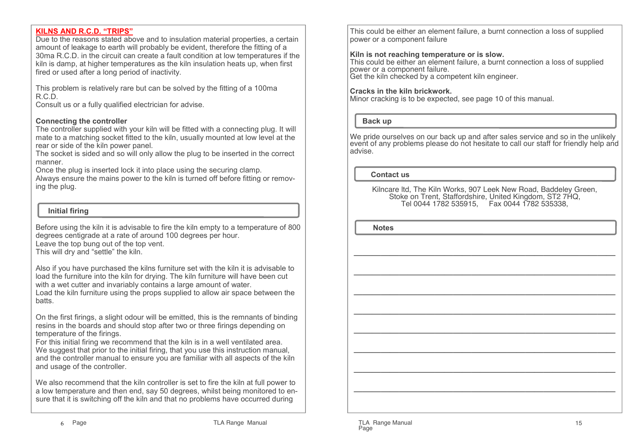#### **KILNS AND R.C.D. "TRIPS"**

 Due to the reasons stated above and to insulation material properties, a certain amount of leakage to earth will probably be evident, therefore the fitting of a 30ma R.C.D. in the circuit can create a fault condition at low temperatures if the kiln is damp, at higher temperatures as the kiln insulation heats up, when first fired or used after a long period of inactivity.

This problem is relatively rare but can be solved by the fitting of a 100ma R.C.D.

Consult us or a fully qualified electrician for advise.

#### **Connecting the controller**

 The controller supplied with your kiln will be fitted with a connecting plug. It will mate to a matching socket fitted to the kiln, usually mounted at low level at the rear or side of the kiln power panel.

 The socket is sided and so will only allow the plug to be inserted in the correct manner.

Once the plug is inserted lock it into place using the securing clamp.

 Always ensure the mains power to the kiln is turned off before fitting or removing the plug.

## **Initial firing**

Before using the kiln it is advisable to fire the kiln empty to a temperature of 800 degrees centigrade at a rate of around 100 degrees per hour. Leave the top bung out of the top vent.This will dry and "settle" the kiln.

Also if you have purchased the kilns furniture set with the kiln it is advisable to load the furniture into the kiln for drying. The kiln furniture will have been cut with a wet cutter and invariably contains a large amount of water. Load the kiln furniture using the props supplied to allow air space between the batts.

On the first firings, a slight odour will be emitted, this is the remnants of binding resins in the boards and should stop after two or three firings depending on temperature of the firings.

 For this initial firing we recommend that the kiln is in a well ventilated area. We suggest that prior to the initial firing, that you use this instruction manual, and the controller manual to ensure you are familiar with all aspects of the kiln and usage of the controller.

We also recommend that the kiln controller is set to fire the kiln at full power to a low temperature and then end, say 50 degrees, whilst being monitored to ensure that it is switching off the kiln and that no problems have occurred during

This could be either an element failure, a burnt connection a loss of supplied power or a component failure

## **Kiln is not reaching temperature or is slow.**

 This could be either an element failure, a burnt connection a loss of supplied power or a component failure. Get the kiln checked by a competent kiln engineer.

#### **Cracks in the kiln brickwork.**

Minor cracking is to be expected, see page 10 of this manual.

 **Back up**

We pride ourselves on our back up and after sales service and so in the unlikely event of any problems please do not hesitate to call our staff for friendly help and advise.

**Contact us**

Kilncare ltd, The Kiln Works, 907 Leek New Road, Baddeley Green, Stoke on Trent, Staffordshire, United Kingdom, ST2 7HQ,Tel 0044 1782 535915, Fax 0044 1782 535338,

 $\overline{\phantom{a}}$ 

 $\mathcal{L}=\{1,2,3,4,5\}$ 

 **Notes**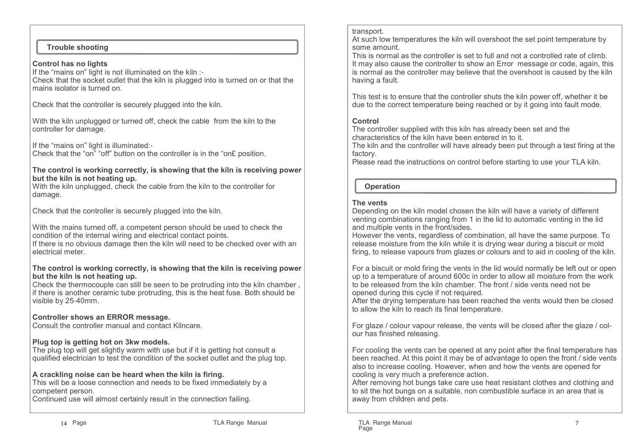#### **Trouble shooting**

#### **Control has no lights**

 If the "mains on" light is not illuminated on the kiln :- Check that the socket outlet that the kiln is plugged into is turned on or that the mains isolator is turned on.

Check that the controller is securely plugged into the kiln.

With the kiln unplugged or turned off, check the cable from the kiln to the controller for damage.

If the "mains on" light is illuminated:-

Check that the "on" "off" button on the controller is in the "on£ position.

#### **The control is working correctly, is showing that the kiln is receiving power but the kiln is not heating up.**

 With the kiln unplugged, check the cable from the kiln to the controller for damage.

Check that the controller is securely plugged into the kiln.

With the mains turned off, a competent person should be used to check the condition of the internal wiring and electrical contact points.

 If there is no obvious damage then the kiln will need to be checked over with an electrical meter.

#### **The control is working correctly, is showing that the kiln is receiving power but the kiln is not heating up.**

 Check the thermocouple can still be seen to be protruding into the kiln chamber , if there is another ceramic tube protruding, this is the heat fuse. Both should be visible by 25-40mm.

## **Controller shows an ERROR message.**

Consult the controller manual and contact Kilncare.

## **Plug top is getting hot on 3kw models.**

 The plug top will get slightly warm with use but if it is getting hot consult a qualified electrician to test the condition of the socket outlet and the plug top.

## **A crackling noise can be heard when the kiln is firing.**

 This will be a loose connection and needs to be fixed immediately by a competent person.

Continued use will almost certainly result in the connection failing.

#### transport.

 At such low temperatures the kiln will overshoot the set point temperature by some amount.

 This is normal as the controller is set to full and not a controlled rate of climb. It may also cause the controller to show an Error message or code, again, this is normal as the controller may believe that the overshoot is caused by the kiln having a fault.

This test is to ensure that the controller shuts the kiln power off, whether it be due to the correct temperature being reached or by it going into fault mode.

#### **Control**

 The controller supplied with this kiln has already been set and the characteristics of the kiln have been entered in to it.

 The kiln and the controller will have already been put through a test firing at the factory.

Please read the instructions on control before starting to use your TLA kiln.

# **Operation**

## **The vents**

 Depending on the kiln model chosen the kiln will have a variety of different venting combinations ranging from 1 in the lid to automatic venting in the lid and multiple vents in the front/sides.

 However the vents, regardless of combination, all have the same purpose. To release moisture from the kiln while it is drying wear during a biscuit or mold firing, to release vapours from glazes or colours and to aid in cooling of the kiln.

For a biscuit or mold firing the vents in the lid would normally be left out or open up to a temperature of around 600c in order to allow all moisture from the work to be released from the kiln chamber. The front / side vents need not be opened during this cycle if not required.

 After the drying temperature has been reached the vents would then be closed to allow the kiln to reach its final temperature.

For glaze / colour vapour release, the vents will be closed after the glaze / colour has finished releasing.

For cooling the vents can be opened at any point after the final temperature has been reached. At this point it may be of advantage to open the front / side vents also to increase cooling. However, when and how the vents are opened for cooling is very much a preference action.

 After removing hot bungs take care use heat resistant clothes and clothing and to sit the hot bungs on a suitable, non combustible surface in an area that is away from children and pets.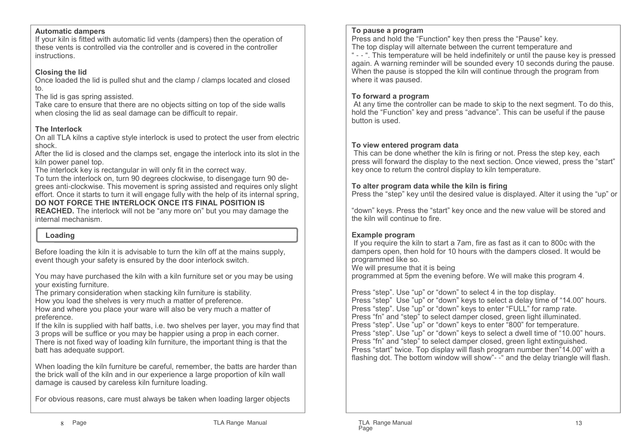#### **Automatic dampers**

 If your kiln is fitted with automatic lid vents (dampers) then the operation of these vents is controlled via the controller and is covered in the controller instructions.

## **Closing the lid**

 Once loaded the lid is pulled shut and the clamp / clamps located and closed to.

The lid is gas spring assisted.

 Take care to ensure that there are no objects sitting on top of the side walls when closing the lid as seal damage can be difficult to repair.

# **The Interlock**

 On all TLA kilns a captive style interlock is used to protect the user from electric shock.

 After the lid is closed and the clamps set, engage the interlock into its slot in the kiln power panel top.

The interlock key is rectangular in will only fit in the correct way.

 To turn the interlock on, turn 90 degrees clockwise, to disengage turn 90 degrees anti-clockwise. This movement is spring assisted and requires only slight effort. Once it starts to turn it will engage fully with the help of its internal spring, **DO NOT FORCE THE INTERLOCK ONCE ITS FINAL POSITION IS** 

 **REACHED.** The interlock will not be "any more on" but you may damage the internal mechanism.

# **Loading**

Before loading the kiln it is advisable to turn the kiln off at the mains supply, event though your safety is ensured by the door interlock switch.

You may have purchased the kiln with a kiln furniture set or you may be using your existing furniture.

The primary consideration when stacking kiln furniture is stability.

How you load the shelves is very much a matter of preference.

 How and where you place your ware will also be very much a matter of preference.

 If the kiln is supplied with half batts, i.e. two shelves per layer, you may find that 3 props will be suffice or you may be happier using a prop in each corner. There is not fixed way of loading kiln furniture, the important thing is that the batt has adequate support.

When loading the kiln furniture be careful, remember, the batts are harder than the brick wall of the kiln and in our experience a large proportion of kiln wall damage is caused by careless kiln furniture loading.

For obvious reasons, care must always be taken when loading larger objects

#### **To pause a program**

 Press and hold the "Function" key then press the "Pause" key.The top display will alternate between the current temperature and

 " - - ". This temperature will be held indefinitely or until the pause key is pressed again. A warning reminder will be sounded every 10 seconds during the pause. When the pause is stopped the kiln will continue through the program from where it was paused.

## **To forward a program**

 At any time the controller can be made to skip to the next segment. To do this, hold the "Function" key and press "advance". This can be useful if the pause button is used.

## **To view entered program data**

 This can be done whether the kiln is firing or not. Press the step key, each press will forward the display to the next section. Once viewed, press the "start" key once to return the control display to kiln temperature.

## **To alter program data while the kiln is firing**

Press the "step" key until the desired value is displayed. Alter it using the "up" or

"down" keys. Press the "start" key once and the new value will be stored and the kiln will continue to fire.

## **Example program**

 If you require the kiln to start a 7am, fire as fast as it can to 800c with the dampers open, then hold for 10 hours with the dampers closed. It would be programmed like so.

We will presume that it is being

programmed at 5pm the evening before. We will make this program 4.

Press "step". Use "up" or "down" to select 4 in the top display. Press "step" Use "up" or "down" keys to select a delay time of "14.00" hours.Press "step". Use "up" or "down" keys to enter "FULL" for ramp rate. Press "fn" and "step" to select damper closed, green light illuminated. Press "step". Use "up" or "down" keys to enter "800" for temperature. Press "step". Use "up" or "down" keys to select a dwell time of "10.00" hours.Press "fn" and "step" to select damper closed, green light extinguished. Press "start" twice. Top display will flash program number then"14.00" with a flashing dot. The bottom window will show"- -" and the delay triangle will flash.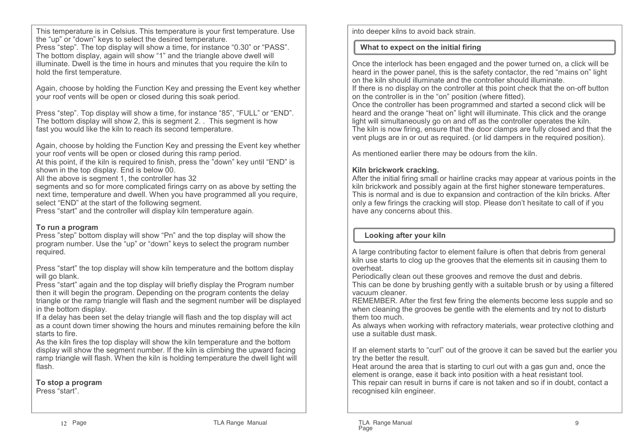This temperature is in Celsius. This temperature is your first temperature. Use the "up" or "down" keys to select the desired temperature.

 Press "step". The top display will show a time, for instance "0.30" or "PASS". The bottom display, again will show "1" and the triangle above dwell will illuminate. Dwell is the time in hours and minutes that you require the kiln to hold the first temperature.

Again, choose by holding the Function Key and pressing the Event key whether your roof vents will be open or closed during this soak period.

Press "step". Top display will show a time, for instance "85", "FULL" or "END". The bottom display will show 2, this is segment 2. . This segment is how fast you would like the kiln to reach its second temperature.

Again, choose by holding the Function Key and pressing the Event key whether your roof vents will be open or closed during this ramp period.

 At this point, if the kiln is required to finish, press the "down" key until "END" is shown in the top display. End is below 00.

All the above is segment 1, the controller has 32

 segments and so for more complicated firings carry on as above by setting the next time, temperature and dwell. When you have programmed all you require, select "END" at the start of the following segment.

Press "start" and the controller will display kiln temperature again.

#### **To run a program**

 Press "step" bottom display will show "Pn" and the top display will show the program number. Use the "up" or "down" keys to select the program number required.

Press "start" the top display will show kiln temperature and the bottom display will go blank.

 Press "start" again and the top display will briefly display the Program number then it will begin the program. Depending on the program contents the delay triangle or the ramp triangle will flash and the segment number will be displayed in the bottom display.

 If a delay has been set the delay triangle will flash and the top display will act as a count down timer showing the hours and minutes remaining before the kiln starts to fire.

 As the kiln fires the top display will show the kiln temperature and the bottom display will show the segment number. If the kiln is climbing the upward facing ramp triangle will flash. When the kiln is holding temperature the dwell light will flash.

**To stop a program**Press "start".

into deeper kilns to avoid back strain.

# **What to expect on the initial firing**

Once the interlock has been engaged and the power turned on, a click will be heard in the power panel, this is the safety contactor, the red "mains on" light on the kiln should illuminate and the controller should illuminate.

 If there is no display on the controller at this point check that the on-off button on the controller is in the "on" position (where fitted).

 Once the controller has been programmed and started a second click will be heard and the orange "heat on" light will illuminate. This click and the orange light will simultaneously go on and off as the controller operates the kiln. The kiln is now firing, ensure that the door clamps are fully closed and that the vent plugs are in or out as required. (or lid dampers in the required position).

As mentioned earlier there may be odours from the kiln.

## **Kiln brickwork cracking.**

 After the initial firing small or hairline cracks may appear at various points in the kiln brickwork and possibly again at the first higher stoneware temperatures. This is normal and is due to expansion and contraction of the kiln bricks. After only a few firings the cracking will stop. Please don't hesitate to call of if you have any concerns about this.

## **Looking after your kiln**

A large contributing factor to element failure is often that debris from general kiln use starts to clog up the grooves that the elements sit in causing them to overheat.

Periodically clean out these grooves and remove the dust and debris.

 This can be done by brushing gently with a suitable brush or by using a filtered vacuum cleaner.

 REMEMBER. After the first few firing the elements become less supple and so when cleaning the grooves be gentle with the elements and try not to disturb them too much.

 As always when working with refractory materials, wear protective clothing and use a suitable dust mask.

If an element starts to "curl" out of the groove it can be saved but the earlier you try the better the result.

 Heat around the area that is starting to curl out with a gas gun and, once the element is orange, ease it back into position with a heat resistant tool. This repair can result in burns if care is not taken and so if in doubt, contact a recognised kiln engineer.